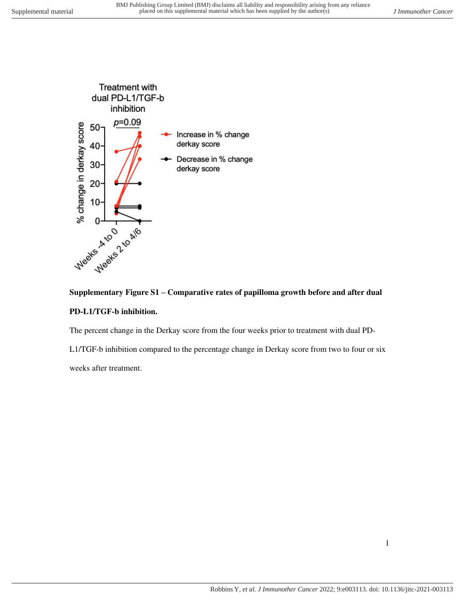

### **PD-L1/TGF-b inhibition.**

The percent change in the Derkay score from the four weeks prior to treatment with dual PD-

L1/TGF-b inhibition compared to the percentage change in Derkay score from two to four or six

weeks after treatment.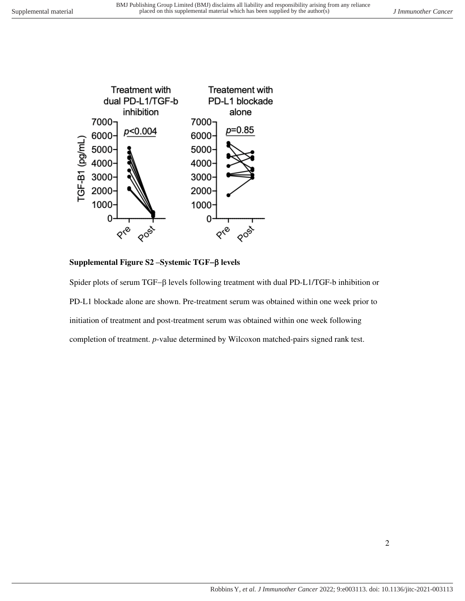

**Supplemental Figure S2 –Systemic TGF**− **levels**

Spider plots of serum TGF−β levels following treatment with dual PD-L1/TGF-b inhibition or PD-L1 blockade alone are shown. Pre-treatment serum was obtained within one week prior to initiation of treatment and post-treatment serum was obtained within one week following completion of treatment. *p*-value determined by Wilcoxon matched-pairs signed rank test.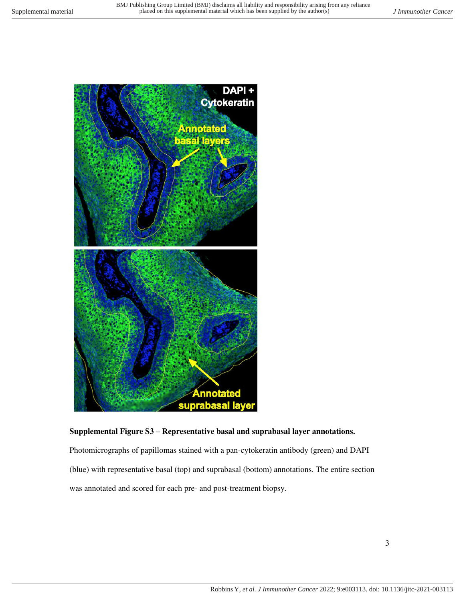

### **Supplemental Figure S3 – Representative basal and suprabasal layer annotations.**

Photomicrographs of papillomas stained with a pan-cytokeratin antibody (green) and DAPI (blue) with representative basal (top) and suprabasal (bottom) annotations. The entire section was annotated and scored for each pre- and post-treatment biopsy.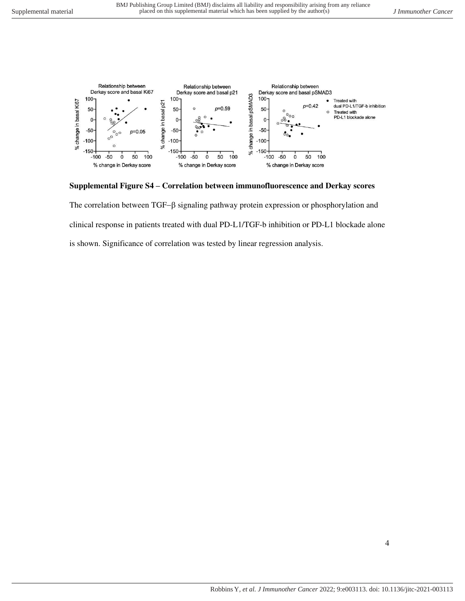

#### **Supplemental Figure S4 – Correlation between immunofluorescence and Derkay scores**

The correlation between TGF-β signaling pathway protein expression or phosphorylation and clinical response in patients treated with dual PD-L1/TGF-b inhibition or PD-L1 blockade alone is shown. Significance of correlation was tested by linear regression analysis.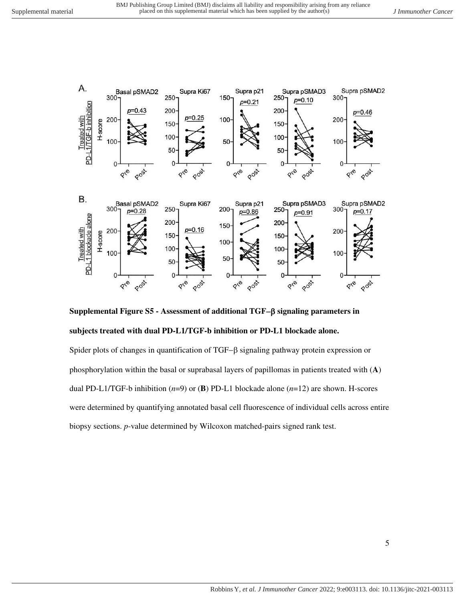

**Supplemental Figure S5 - Assessment of additional TGF**− **signaling parameters in subjects treated with dual PD-L1/TGF-b inhibition or PD-L1 blockade alone.**

Spider plots of changes in quantification of TGF-β signaling pathway protein expression or phosphorylation within the basal or suprabasal layers of papillomas in patients treated with (**A**) dual PD-L1/TGF-b inhibition (*n*=9) or (**B**) PD-L1 blockade alone (*n*=12) are shown. H-scores were determined by quantifying annotated basal cell fluorescence of individual cells across entire biopsy sections. *p*-value determined by Wilcoxon matched-pairs signed rank test.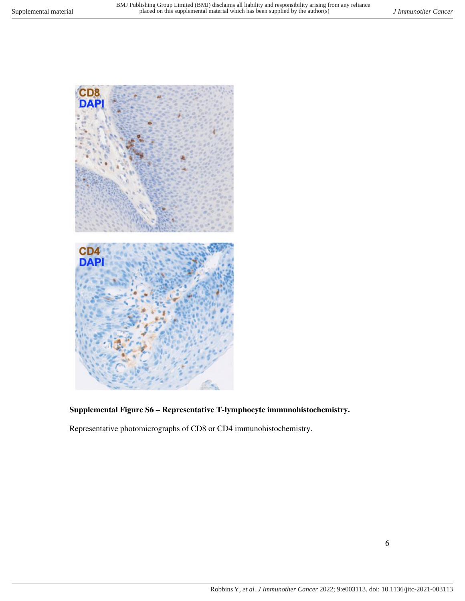

## **Supplemental Figure S6 – Representative T-lymphocyte immunohistochemistry.**

Representative photomicrographs of CD8 or CD4 immunohistochemistry.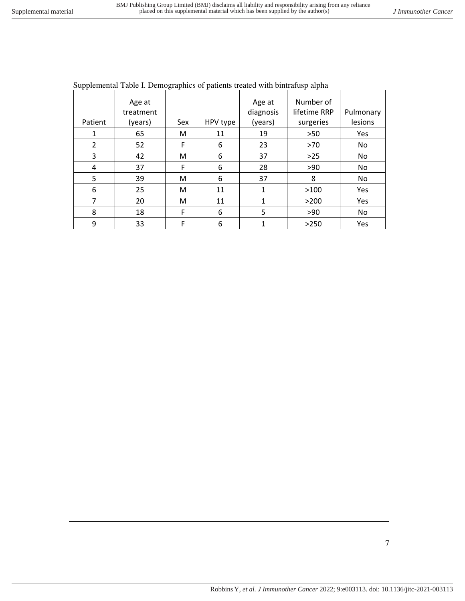|                | Age at    |     |          | Age at    | Number of    |           |
|----------------|-----------|-----|----------|-----------|--------------|-----------|
|                | treatment |     |          | diagnosis | lifetime RRP | Pulmonary |
| Patient        | (years)   | Sex | HPV type | (years)   | surgeries    | lesions   |
| 1              | 65        | м   | 11       | 19        | >50          | Yes       |
| $\overline{2}$ | 52        | F   | 6        | 23        | >70          | No        |
| 3              | 42        | м   | 6        | 37        | $>25$        | <b>No</b> |
| 4              | 37        | F   | 6        | 28        | >90          | <b>No</b> |
| 5              | 39        | м   | 6        | 37        | 8            | No        |
| 6              | 25        | M   | 11       | 1         | >100         | Yes       |
| 7              | 20        | M   | 11       | 1         | >200         | Yes       |
| 8              | 18        | F   | 6        | 5         | >90          | <b>No</b> |
| 9              | 33        | F   | 6        | 1         | >250         | Yes       |

Supplemental Table I. Demographics of patients treated with bintrafusp alpha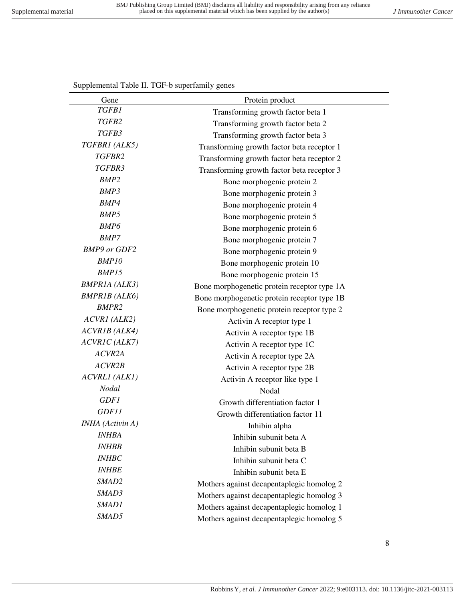# *TGFB2* Transforming growth factor beta 2 *TGFB3* **Transforming growth factor beta 3**<br>*TGFBR1 (ALK5)* **Transforming growth factor beta recepi** Transforming growth factor beta receptor 1 *TGFBR2* Transforming growth factor beta receptor 2 **TGFBR3 Transforming growth factor beta receptor 3**<br> **RAMP2 Rona metropolis protein 2** Bone morphogenic protein 2 **BMP3 Bone** morphogenic protein 3 **BMP4 Bone** morphogenic protein 4 **BMP5 Bone** morphogenic protein 5 *BMP6* Bone morphogenic protein 6<br>*BMP7* Bone morphogenic protein 7 Bone morphogenic protein 7 *BMP9 or GDF2* Bone morphogenic protein 9 *BMP10* **Bone** morphogenic protein 10 *BMP15* Bone morphogenic protein 15 *BMPR1A (ALK3)* Bone morphogenetic protein receptor type 1A *BMPR1B (ALK6)* Bone morphogenetic protein receptor type 1B *BMPR2* Bone morphogenetic protein receptor type 2 *ACVR1 (ALK2)* Activin A receptor type 1 *ACVR1B (ALK4)* Activin A receptor type 1B *ACVR1C (ALK7)* Activin A receptor type 1C *ACVR2A* Activin A receptor type 2A *ACVR2B* Activin A receptor type 2B *ACVRL1 (ALK1)* Activin A receptor like type 1 *Nodal* Nodal **Nodal** *GDF1* **Growth differentiation factor 1** *GDF11* Growth differentiation factor 11 *INHA (Activin A)* Inhibin alpha *INHBA* Inhibin subunit beta A *INHBB* Inhibin subunit beta B *INHBC* Inhibin subunit beta C *INHBE* Inhibin subunit beta E **SMAD2** Mothers against decapentaplegic homolog 2 **SMAD3** Mothers against decapentaplegic homolog 3

**SMAD1 Mothers against decapentaplegic homolog 1 SMAD5** Mothers against decapentaplegic homolog 5

Supplemental Table II. TGF-b superfamily genes

Gene Protein product

*TGFB1* Transforming growth factor beta 1

Robbins Y*, et al. J Immunother Cancer* 2022; 9:e003113. doi: 10.1136/jitc-2021-003113

8